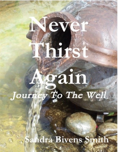# Again

eve

Thirs

Sahdra Bivens Smith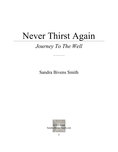# Never Thirst Again

# *Journey To The Well*

Sandra Bivens Smith

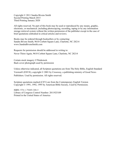Copyright © 2011 Sandra Bivens Smith Second Printing March 2015 Third Printing January 2020

All rights reserved. No part of this book may be used or reproduced by any means, graphic, electronic, or mechanical ,including photocopying, recording, taping or by any information storage retrieval system without the written permission of the publisher except in the case of brief quotations embodied in critical articles and reviews.

Books may be ordered through booksellers or by contacting: Sandra Bivens Smith, 9610 Corbett Square Lane, Charlotte, NC 28214 www.SandraBivensSmith.com

Requests for permission should be addressed in writing to: Never Thirst Again, 9610 Corbett Square Lane, Charlotte, NC 28214

Certain stock imagery ©Thinkstock. Back cover photograph used by permission

Unless otherwise indicated, all Scripture quotations are from The Holy Bible, English Standard Version® (ESV®), copyright © 2001 by Crossway, a publishing ministry of Good News Publishers. Used by permission. All rights reserved.

Scripture quotations marked (CEV) are from the Contemporary English Version Copyright © 1991, 1992, 1995 by American Bible Society, Used by Permission.

ISBN: 978-1-79489-308-5 Library of Congress Control Number: 2011925109 Printed in the United States of America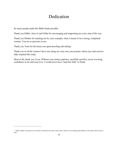## Dedication

So many people made this Bible Study possible.

Thank you Mikki, Amy Jo and Gilda for encouraging and supporting me every step of the way.

Thank you Mother for teaching me by your example, what it means to be a strong, completed woman. You are so precious to me.<sup>1</sup>

Thank you Trent for the hours you spent proofing and editing.

Thank you to all the women I have met along my sixty-one year journey whose joys and sorrows alike inspired this study.

Most of all, thank you Avon**.** Without your tireless patience, unselfish sacrifice, never wavering confidence in me and your love, I would never have "kept the faith" to finish.

<sup>&</sup>lt;sup>11</sup> Sadly, Mother went home to be with the Lord before this study went to print. However, her teaching and influence will remain with me all my days.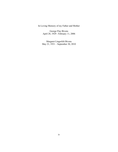In Loving Memory of my Father and Mother

George Flay Bivens April 28, 1929 - February 11, 2006

Margaret Lingerfelt Bivens May 21, 1931 – September 30, 2010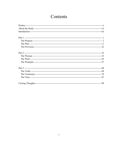### Contents

<span id="page-6-0"></span>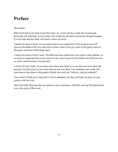## **Preface**

#### Dear Hearts,

When God laid on my heart to pen this study, my vision was for a study that would speak personally and intimately to the women who would one day pick it up and go through its pages. It is my hope that this study will create a desire for more.

A desire for more of Jesus. It is my prayer that as you spend time in His presence you will discover the depth of His love and come to know more of His joy, more of His peace, more of His grace, and more of His forgiveness.

A desire for more of God's word. The bible has been called God's love letter to His children. As we come to understand that every word of every verse is given by the Father out of His love for us, God's word becomes very personal.

A desire for more faith. As you learn more about who Jesus is, as you discover more about the promises God has given, as you learn that you can trust Him, I am confident your words will echo those of the father in the gospel of Mark who cried out "I believe, help my unbelief"!

I have tried to bring you a study that is rich in substance, one that will help you grow on your journey with the Lord.

May God richly bless the time you spend in your communion with Him and may His Spirit direct you in the study of His word.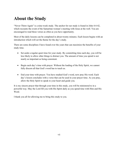# <span id="page-8-0"></span>**About the Study**

"Never Thirst Again" is a nine-week study. The anchor for our study is found in John 4:4-42, which recounts the event of the Samaritan woman's meeting with Jesus at the well. You are encouraged to read these verses as often as you have opportunity.

Most of the daily lessons can be completed in about twenty minutes. Each lesson begins with an introduction which will set the theme for the day's study.

There are some disciplines I have found over the years that can maximize the benefits of your study time.

- Set aside a regular quiet time for your study. By committing time each day, you will be less likely to allow other things to distract you. The amount of time you spend is not nearly as important as being consistent.
- Begin each day's time with prayer. Without the leading of the Holy Spirit, we cannot fully discern all that God's word has to teach us.
- End your time with prayer. You have studied God's word, now pray His word. Each day's lesson concludes with a verse that can be used in your prayer time. As you pray, allow the Holy Spirit to speak to your heart and guide you.

It is my sincere prayer that through your time in this study, you will be ministered to in a powerful way. May the Lord fill you with His Spirit daily as you spend time with Him and His Word.

I thank you all for allowing me to bring this study to you.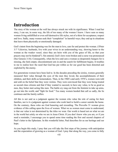# <span id="page-9-0"></span>**Introduction**

The story of the woman at the well has always struck me with its significance. When I read her story, I can see, in some way, the life of too many of the women I know. I have seen so many women living unfulfilled or even self-destructive life styles, out of a thirst for acceptance, respect and love. Sadly, many women seek their "completion" in harmful ways; they end up in situations that leave them physically or emotionally damaged.

God's intent from the beginning was for the man to love, care for and protect the woman. (1Peter 3:7 "Likewise, husbands, live with your wives in an understanding way, showing honor to the woman as the weaker vessel, since they are heirs with you of the grace of life, so that your prayers may not be hindered"). Sin entered, God's laws were broken and a curse was pronounced (See Genesis 3:16). Consequently, when the love and care a woman so desperately hungers for is missing, she feels empty; discontentment sets in and the search for fulfillment begins. It troubles to me to realize how the need that God has put within us for our good has been distorted and exploited by the enemy.

For generations women have been lied to. In the decades preceding the sixties, women generally measured their value through the eyes of the men they loved, the accomplishments of their children, and their skills as homemakers. Then, in the 1960's and early 1970's, women were told and sold on the belief that they were victims. They were convinced that they were being treated as second class citizens and that if they wanted to succeed, to have any value, to be as good as men, they better start acting like men. The battle cry rang out from the feminist to take up arms, go out into the world, and "fight for food." Too many women heeded that call so sadly, the lie continues and the family suffers.

All this is not said as a judgment against the women who value the role of caring for their families, nor is it a judgment against women who work hard to build a career outside the home. On the contrary, these roles are God honoring and rewarding. The Proverbs 31 woman gives evidence of this calling upon the lives of women. What we as women must come to understand, is that our value is not determined by the titles we wear. Our worth is based not on what we are in the world but solely on who we are in Jesus Christ. If you don't know who you are, or if you need a reminder, I encourage you to spend some time reading the first and second chapters of Paul's letter to the Ephesians. In this wonderful letter, Paul describes for us our heritage and our hope.

As you begin this study, I pray that you will take the first steps of the journey with anticipation and the expectation of growing as a woman of God. I pray that along the way, you come to fully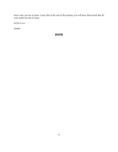know who you are in Jesus. I pray that at the end of the journey you will have discovered that all your needs are met in Jesus.

In His Love

Sandra

#### $5003$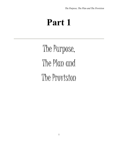# <span id="page-12-0"></span>**Part 1**

The Purpose, The Plan and The Provision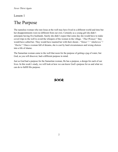#### Lesson 1

# <span id="page-13-0"></span>The Purpose

The nameless woman who met Jesus at the well may have lived in a different world and time but her disappointments were no different from our own. Certainly as a young girl she didn't anticipate having five husbands. Surely she didn't expect that some day she would have to make covert trips to the well to avoid the whispers of the women in the village. *"That Woman!"* they would have called her. They would have taunted her with their shouts - "*Sinner"! "Adulteress"! "Harlot"!* Once a woman full of dreams, she is cast by hard circumstances and wrong choices into a life of shame.

The Samaritan woman came to the well that noon for the purpose of getting a jug of water, but God, as you will discover, had a different purpose in mind.

Just as God had a purpose for the Samaritan woman, He has a purpose, a design for each of our lives. In this week's study, we will look at how we can know God's purpose for us and what we can do to fulfill His purpose.

#### $5003$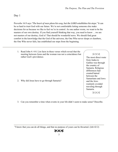#### Day 1

Proverbs 16:9 says *"The heart of man plans his way, but the LORD establishes his steps."* It can be so hard to trust God with our future. We're not comfortable letting someone else make decisions for us because we like to feel we're in control. As one author wrote, we want to be the masters of our own destiny. If you find yourself thinking that way, you need to know …we are not masters of our destiny, God is! That should be wonderful news. We should find great comfort in the knowledge that the God of the universe, the One Who never sleeps or slumbers, the One Who never fails, has established our steps from the beginning.

1. Read John 4: 4-8. List facts in these verses which reveal that the meeting between Jesus and the woman was not a coincidence but rather God's providence.

2. Why did Jesus have to go through Samaria?

#### **8003**

The most direct route from Judea to Galilee was through the country of Samaria. Religious differences had created hatred between the Samaritans and Jews and the Jews routinely avoided traveling through Samaria.

**2003** 

3. Can you remember a time when events in your life didn't seem to make sense? Describe.

<sup>&</sup>quot;I know that you can do all things, and that no purpose of yours can be thwarted. (Job 42:2)

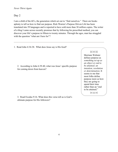#### Day 2

I am a child of the 60's, the generation which set out to "find ourselves." There are books aplenty to tell us how to find our purpose. Rick Warren's Purpose Driven Life has been translated into 59 languages and is reported to have sold more than 30 million copies. The writer of a blog I came across recently promises that by following his prescribed method, you can discover your life's purpose in fifteen to twenty minutes. Through the ages, man has struggled with the question "what am I here for"?

1. Read John 4:34-38. What does Jesus say is His food?

2. According to John 6:39-40, what was Jesus' specific purpose for coming down from heaven?

3. Read Exodus 9:16. What does this verse tell us is God's ultimate purpose for His followers?

#### **8003**

Merriam Webster defines purpose as *something set up as an object or end to be attained; an intention, resolution or determination*. It seems to me that most folks define purpose more as how they are going to spend their time rather than an "end to be attained."

**ROCK**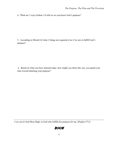4. What are 3 ways Joshua 1:8 tells us we can know God's purpose?

5. According to Micah 6:8 what 3 things are required of us if we are to fulfill God's purpose?

6. Based on what you have learned today, how might you direct the way you spend your time toward attaining your purpose?

I cry out to God Most High, to God who fulfills his purpose for me. (Psalms 57:2)

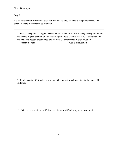#### Day 3

We all have memories from our past. For many of us, they are mostly happy memories. For others, they are memories filled with pain.

1. Genesis chapters 37-45 give the account of Joseph's life from a teenaged shepherd boy to the second highest position of authority in Egypt. Read Genesis 37:12-30. As you read, list the trials that Joseph encountered and tell how God intervened in each situation.

Joseph's Trials God's Intervention

2. Read Genesis 50:20. Why do you think God sometimes allows trials in the lives of His children?

3. What experience in your life has been the most difficult for you to overcome?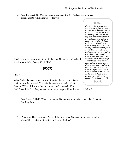4. Read Romans 8:28. What are some ways you think that God can use your past experiences to fulfill His purpose for you.

#### **SOQR**

*For everything there is a season, and a time for every matter under heaven: a time to be born, and a time to die; a time to plant, and a time to pluck up what is planted; a time to kill, and a time to heal; a time to break down, and a time to build up; a time to weep, and a time to laugh; a time to mourn, and a time to dance; a time to cast away stones, and a time to gather stones together; a time to embrace, and a time to refrain from embracing; a time to seek, and a time to lose; a time to keep, and a time to cast away; a time to tear, and a time to sew; a time to keep silence, and a time to speak; a time to love, and a time to hate; a time for war, and a time for peace. (Ecclesiastes 3:1-8)*

**SOOR** 

You have turned my sorrow into joyful dancing. No longer am I sad and wearing sackcloth. (Psalms 30:11 CEV)

#### တလ

#### Day 4

When God calls you to move, do you often find that you immediately begin to look for excuses? Alternatively, maybe you tend to take the Scarlett O'Hara "I'll worry about that tomorrow" approach. Why is

that? Could it be fear? Do you fear commitment, responsibility, inadequacy, failure?

- 1. Read Judges 6:11-16. What is the reason Gideon was in the winepress, rather than on the threshing floor?
- 2. What would be a reason the Angel of the Lord called Gideon a mighty man of valor, when Gideon refers to himself as the least of the least?